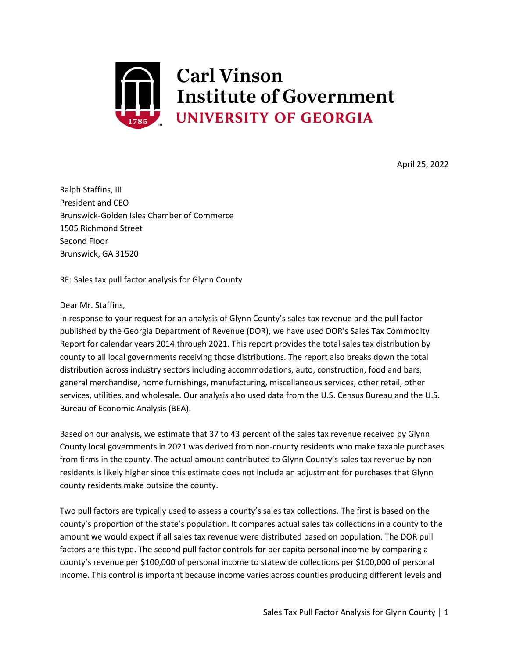

April 25, 2022

Ralph Staffins, III President and CEO Brunswick-Golden Isles Chamber of Commerce 1505 Richmond Street Second Floor Brunswick, GA 31520

RE: Sales tax pull factor analysis for Glynn County

## Dear Mr. Staffins,

In response to your request for an analysis of Glynn County's sales tax revenue and the pull factor published by the Georgia Department of Revenue (DOR), we have used DOR's Sales Tax Commodity Report for calendar years 2014 through 2021. This report provides the total sales tax distribution by county to all local governments receiving those distributions. The report also breaks down the total distribution across industry sectors including accommodations, auto, construction, food and bars, general merchandise, home furnishings, manufacturing, miscellaneous services, other retail, other services, utilities, and wholesale. Our analysis also used data from the U.S. Census Bureau and the U.S. Bureau of Economic Analysis (BEA).

Based on our analysis, we estimate that 37 to 43 percent of the sales tax revenue received by Glynn County local governments in 2021 was derived from non-county residents who make taxable purchases from firms in the county. The actual amount contributed to Glynn County's sales tax revenue by nonresidents is likely higher since this estimate does not include an adjustment for purchases that Glynn county residents make outside the county.

Two pull factors are typically used to assess a county's sales tax collections. The first is based on the county's proportion of the state's population. It compares actual sales tax collections in a county to the amount we would expect if all sales tax revenue were distributed based on population. The DOR pull factors are this type. The second pull factor controls for per capita personal income by comparing a county's revenue per \$100,000 of personal income to statewide collections per \$100,000 of personal income. This control is important because income varies across counties producing different levels and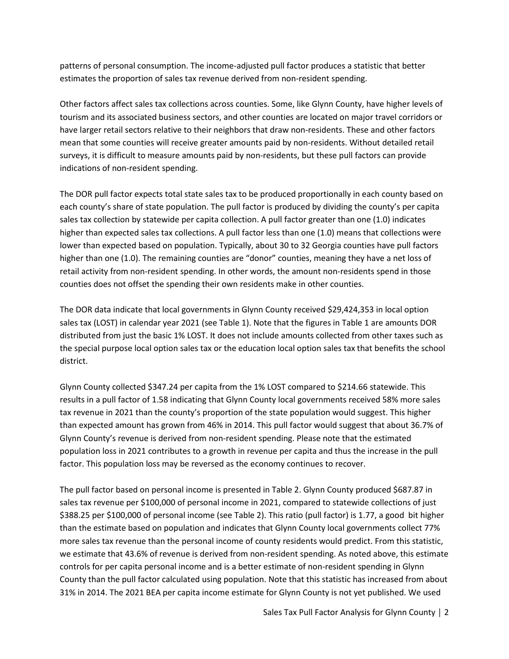patterns of personal consumption. The income-adjusted pull factor produces a statistic that better estimates the proportion of sales tax revenue derived from non-resident spending.

Other factors affect sales tax collections across counties. Some, like Glynn County, have higher levels of tourism and its associated business sectors, and other counties are located on major travel corridors or have larger retail sectors relative to their neighbors that draw non-residents. These and other factors mean that some counties will receive greater amounts paid by non-residents. Without detailed retail surveys, it is difficult to measure amounts paid by non-residents, but these pull factors can provide indications of non-resident spending.

The DOR pull factor expects total state sales tax to be produced proportionally in each county based on each county's share of state population. The pull factor is produced by dividing the county's per capita sales tax collection by statewide per capita collection. A pull factor greater than one (1.0) indicates higher than expected sales tax collections. A pull factor less than one (1.0) means that collections were lower than expected based on population. Typically, about 30 to 32 Georgia counties have pull factors higher than one (1.0). The remaining counties are "donor" counties, meaning they have a net loss of retail activity from non-resident spending. In other words, the amount non-residents spend in those counties does not offset the spending their own residents make in other counties.

The DOR data indicate that local governments in Glynn County received \$29,424,353 in local option sales tax (LOST) in calendar year 2021 (see Table 1). Note that the figures in Table 1 are amounts DOR distributed from just the basic 1% LOST. It does not include amounts collected from other taxes such as the special purpose local option sales tax or the education local option sales tax that benefits the school district.

Glynn County collected \$347.24 per capita from the 1% LOST compared to \$214.66 statewide. This results in a pull factor of 1.58 indicating that Glynn County local governments received 58% more sales tax revenue in 2021 than the county's proportion of the state population would suggest. This higher than expected amount has grown from 46% in 2014. This pull factor would suggest that about 36.7% of Glynn County's revenue is derived from non-resident spending. Please note that the estimated population loss in 2021 contributes to a growth in revenue per capita and thus the increase in the pull factor. This population loss may be reversed as the economy continues to recover.

The pull factor based on personal income is presented in Table 2. Glynn County produced \$687.87 in sales tax revenue per \$100,000 of personal income in 2021, compared to statewide collections of just \$388.25 per \$100,000 of personal income (see Table 2). This ratio (pull factor) is 1.77, a good bit higher than the estimate based on population and indicates that Glynn County local governments collect 77% more sales tax revenue than the personal income of county residents would predict. From this statistic, we estimate that 43.6% of revenue is derived from non-resident spending. As noted above, this estimate controls for per capita personal income and is a better estimate of non-resident spending in Glynn County than the pull factor calculated using population. Note that this statistic has increased from about 31% in 2014. The 2021 BEA per capita income estimate for Glynn County is not yet published. We used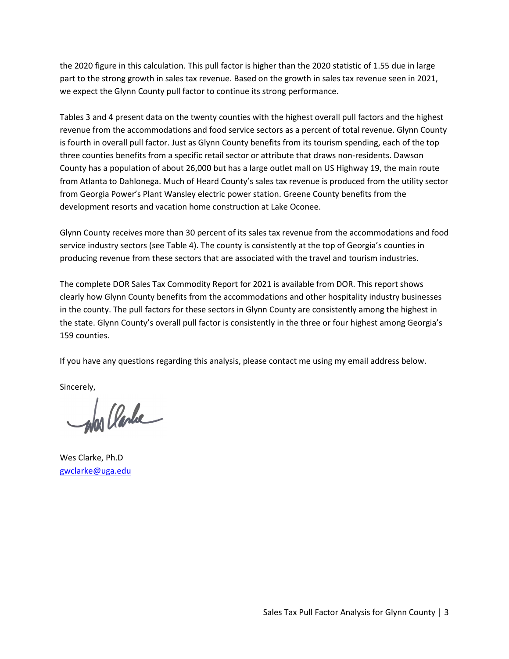the 2020 figure in this calculation. This pull factor is higher than the 2020 statistic of 1.55 due in large part to the strong growth in sales tax revenue. Based on the growth in sales tax revenue seen in 2021, we expect the Glynn County pull factor to continue its strong performance.

Tables 3 and 4 present data on the twenty counties with the highest overall pull factors and the highest revenue from the accommodations and food service sectors as a percent of total revenue. Glynn County is fourth in overall pull factor. Just as Glynn County benefits from its tourism spending, each of the top three counties benefits from a specific retail sector or attribute that draws non-residents. Dawson County has a population of about 26,000 but has a large outlet mall on US Highway 19, the main route from Atlanta to Dahlonega. Much of Heard County's sales tax revenue is produced from the utility sector from Georgia Power's Plant Wansley electric power station. Greene County benefits from the development resorts and vacation home construction at Lake Oconee.

Glynn County receives more than 30 percent of its sales tax revenue from the accommodations and food service industry sectors (see Table 4). The county is consistently at the top of Georgia's counties in producing revenue from these sectors that are associated with the travel and tourism industries.

The complete DOR Sales Tax Commodity Report for 2021 is available from DOR. This report shows clearly how Glynn County benefits from the accommodations and other hospitality industry businesses in the county. The pull factors for these sectors in Glynn County are consistently among the highest in the state. Glynn County's overall pull factor is consistently in the three or four highest among Georgia's 159 counties.

If you have any questions regarding this analysis, please contact me using my email address below.

Sincerely,

an Clarke

Wes Clarke, Ph.D [gwclarke@uga.edu](mailto:gwclarke@uga.edu)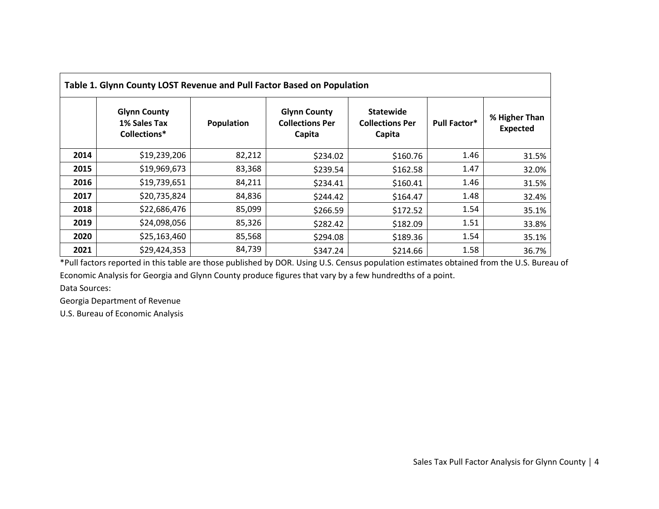| Table 1. Glynn County LOST Revenue and Pull Factor Based on Population |                                                     |            |                                                         |                                                      |                     |                                  |  |  |
|------------------------------------------------------------------------|-----------------------------------------------------|------------|---------------------------------------------------------|------------------------------------------------------|---------------------|----------------------------------|--|--|
|                                                                        | <b>Glynn County</b><br>1% Sales Tax<br>Collections* | Population | <b>Glynn County</b><br><b>Collections Per</b><br>Capita | <b>Statewide</b><br><b>Collections Per</b><br>Capita | <b>Pull Factor*</b> | % Higher Than<br><b>Expected</b> |  |  |
| 2014                                                                   | \$19,239,206                                        | 82,212     | \$234.02                                                | \$160.76                                             | 1.46                | 31.5%                            |  |  |
| 2015                                                                   | \$19,969,673                                        | 83,368     | \$239.54                                                | \$162.58                                             | 1.47                | 32.0%                            |  |  |
| 2016                                                                   | \$19,739,651                                        | 84,211     | \$234.41                                                | \$160.41                                             | 1.46                | 31.5%                            |  |  |
| 2017                                                                   | \$20,735,824                                        | 84,836     | \$244.42                                                | \$164.47                                             | 1.48                | 32.4%                            |  |  |
| 2018                                                                   | \$22,686,476                                        | 85,099     | \$266.59                                                | \$172.52                                             | 1.54                | 35.1%                            |  |  |
| 2019                                                                   | \$24,098,056                                        | 85,326     | \$282.42                                                | \$182.09                                             | 1.51                | 33.8%                            |  |  |
| 2020                                                                   | \$25,163,460                                        | 85,568     | \$294.08                                                | \$189.36                                             | 1.54                | 35.1%                            |  |  |
| 2021                                                                   | \$29,424,353                                        | 84,739     | \$347.24                                                | \$214.66                                             | 1.58                | 36.7%                            |  |  |

\*Pull factors reported in this table are those published by DOR. Using U.S. Census population estimates obtained from the U.S. Bureau of Economic Analysis for Georgia and Glynn County produce figures that vary by a few hundredths of a point.

Data Sources:

Georgia Department of Revenue

U.S. Bureau of Economic Analysis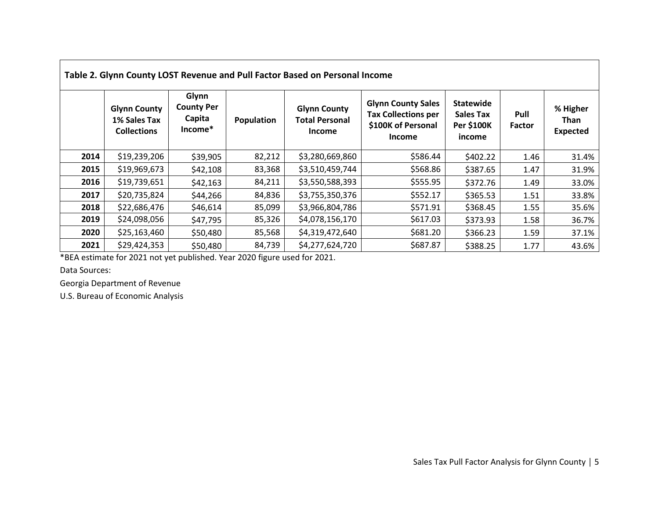|      |                                                           |                                                 |            | Table 2. Glynn County LOST Revenue and Pull Factor Based on Personal Income |                                                                                                |                                                                     |                       |                                     |
|------|-----------------------------------------------------------|-------------------------------------------------|------------|-----------------------------------------------------------------------------|------------------------------------------------------------------------------------------------|---------------------------------------------------------------------|-----------------------|-------------------------------------|
|      | <b>Glynn County</b><br>1% Sales Tax<br><b>Collections</b> | Glynn<br><b>County Per</b><br>Capita<br>Income* | Population | <b>Glynn County</b><br><b>Total Personal</b><br><b>Income</b>               | <b>Glynn County Sales</b><br><b>Tax Collections per</b><br>\$100K of Personal<br><b>Income</b> | <b>Statewide</b><br><b>Sales Tax</b><br><b>Per \$100K</b><br>income | Pull<br><b>Factor</b> | % Higher<br>Than<br><b>Expected</b> |
| 2014 | \$19,239,206                                              | \$39,905                                        | 82,212     | \$3,280,669,860                                                             | \$586.44                                                                                       | \$402.22                                                            | 1.46                  | 31.4%                               |
| 2015 | \$19,969,673                                              | \$42,108                                        | 83,368     | \$3,510,459,744                                                             | \$568.86                                                                                       | \$387.65                                                            | 1.47                  | 31.9%                               |
| 2016 | \$19,739,651                                              | \$42,163                                        | 84,211     | \$3,550,588,393                                                             | \$555.95                                                                                       | \$372.76                                                            | 1.49                  | 33.0%                               |
| 2017 | \$20,735,824                                              | \$44,266                                        | 84,836     | \$3,755,350,376                                                             | \$552.17                                                                                       | \$365.53                                                            | 1.51                  | 33.8%                               |
| 2018 | \$22,686,476                                              | \$46,614                                        | 85,099     | \$3,966,804,786                                                             | \$571.91                                                                                       | \$368.45                                                            | 1.55                  | 35.6%                               |
| 2019 | \$24,098,056                                              | \$47,795                                        | 85,326     | \$4,078,156,170                                                             | \$617.03                                                                                       | \$373.93                                                            | 1.58                  | 36.7%                               |
| 2020 | \$25,163,460                                              | \$50,480                                        | 85,568     | \$4,319,472,640                                                             | \$681.20                                                                                       | \$366.23                                                            | 1.59                  | 37.1%                               |
| 2021 | \$29,424,353                                              | \$50,480                                        | 84,739     | \$4,277,624,720                                                             | \$687.87                                                                                       | \$388.25                                                            | 1.77                  | 43.6%                               |

\*BEA estimate for 2021 not yet published. Year 2020 figure used for 2021.

Data Sources:

Georgia Department of Revenue

U.S. Bureau of Economic Analysis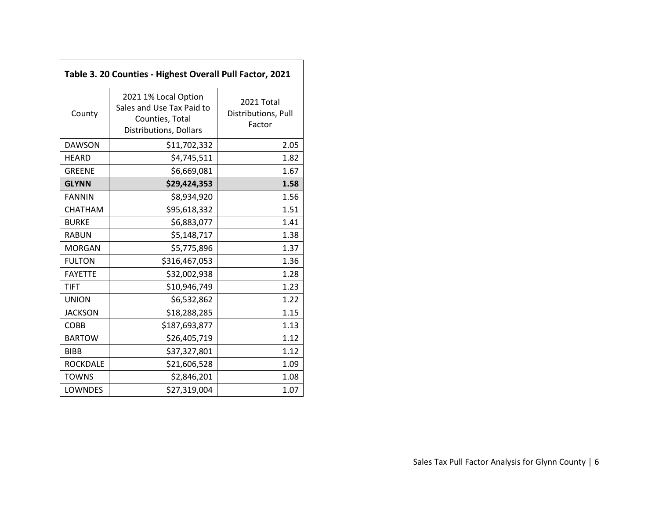| Table 3. 20 Counties - Highest Overall Pull Factor, 2021 |                                                                                                |                                             |  |  |  |  |
|----------------------------------------------------------|------------------------------------------------------------------------------------------------|---------------------------------------------|--|--|--|--|
| County                                                   | 2021 1% Local Option<br>Sales and Use Tax Paid to<br>Counties, Total<br>Distributions, Dollars | 2021 Total<br>Distributions, Pull<br>Factor |  |  |  |  |
| <b>DAWSON</b>                                            | \$11,702,332                                                                                   | 2.05                                        |  |  |  |  |
| <b>HEARD</b>                                             | \$4,745,511                                                                                    | 1.82                                        |  |  |  |  |
| <b>GREENE</b>                                            | \$6,669,081                                                                                    | 1.67                                        |  |  |  |  |
| <b>GLYNN</b>                                             | \$29,424,353                                                                                   | 1.58                                        |  |  |  |  |
| <b>FANNIN</b>                                            | \$8,934,920                                                                                    | 1.56                                        |  |  |  |  |
| <b>CHATHAM</b>                                           | \$95,618,332                                                                                   | 1.51                                        |  |  |  |  |
| <b>BURKE</b>                                             | \$6,883,077                                                                                    | 1.41                                        |  |  |  |  |
| <b>RABUN</b>                                             | \$5,148,717                                                                                    | 1.38                                        |  |  |  |  |
| <b>MORGAN</b>                                            | \$5,775,896                                                                                    | 1.37                                        |  |  |  |  |
| <b>FULTON</b>                                            | \$316,467,053                                                                                  | 1.36                                        |  |  |  |  |
| <b>FAYETTE</b>                                           | \$32,002,938                                                                                   | 1.28                                        |  |  |  |  |
| <b>TIFT</b>                                              | \$10,946,749                                                                                   | 1.23                                        |  |  |  |  |
| <b>UNION</b>                                             | \$6,532,862                                                                                    | 1.22                                        |  |  |  |  |
| <b>JACKSON</b>                                           | \$18,288,285                                                                                   | 1.15                                        |  |  |  |  |
| <b>COBB</b>                                              | \$187,693,877                                                                                  | 1.13                                        |  |  |  |  |
| <b>BARTOW</b>                                            | \$26,405,719                                                                                   | 1.12                                        |  |  |  |  |
| <b>BIBB</b>                                              | \$37,327,801                                                                                   | 1.12                                        |  |  |  |  |
| <b>ROCKDALE</b>                                          | \$21,606,528                                                                                   | 1.09                                        |  |  |  |  |
| <b>TOWNS</b>                                             | \$2,846,201                                                                                    | 1.08                                        |  |  |  |  |
| <b>LOWNDES</b>                                           | \$27,319,004                                                                                   | 1.07                                        |  |  |  |  |